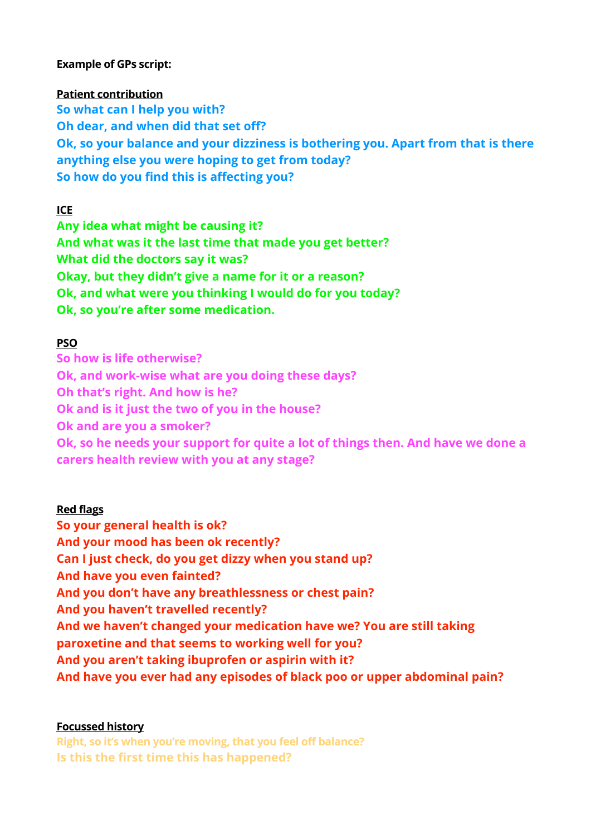### **Example of GPs script:**

### **Patient contribution**

**So what can I help you with? Oh dear, and when did that set off? Ok, so your balance and your dizziness is bothering you. Apart from that is there anything else you were hoping to get from today? So how do you find this is affecting you?** 

**ICE** 

**Any idea what might be causing it? And what was it the last time that made you get better? What did the doctors say it was? Okay, but they didn't give a name for it or a reason? Ok, and what were you thinking I would do for you today? Ok, so you're after some medication.** 

## **PSO**

**So how is life otherwise? Ok, and work-wise what are you doing these days? Oh that's right. And how is he? Ok and is it just the two of you in the house? Ok and are you a smoker? Ok, so he needs your support for quite a lot of things then. And have we done a carers health review with you at any stage?** 

## **Red flags**

**So your general health is ok? And your mood has been ok recently? Can I just check, do you get dizzy when you stand up? And have you even fainted? And you don't have any breathlessness or chest pain? And you haven't travelled recently? And we haven't changed your medication have we? You are still taking paroxetine and that seems to working well for you? And you aren't taking ibuprofen or aspirin with it? And have you ever had any episodes of black poo or upper abdominal pain?** 

## **Focussed history**

**Right, so it's when you're moving, that you feel off balance? Is this the first time this has happened?**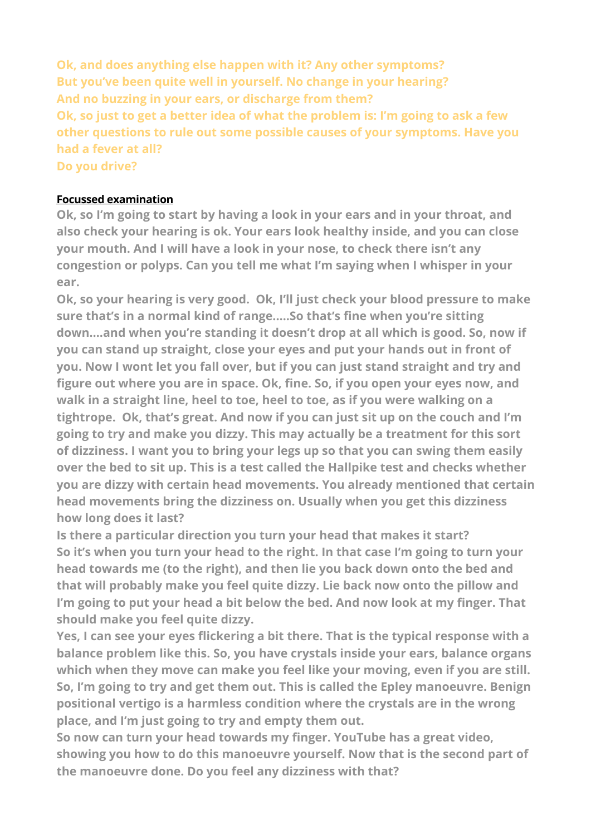**Ok, and does anything else happen with it? Any other symptoms? But you've been quite well in yourself. No change in your hearing? And no buzzing in your ears, or discharge from them? Ok, so just to get a better idea of what the problem is: I'm going to ask a few other questions to rule out some possible causes of your symptoms. Have you had a fever at all? Do you drive?** 

# **Focussed examination**

**Ok, so I'm going to start by having a look in your ears and in your throat, and also check your hearing is ok. Your ears look healthy inside, and you can close your mouth. And I will have a look in your nose, to check there isn't any congestion or polyps. Can you tell me what I'm saying when I whisper in your ear.** 

**Ok, so your hearing is very good. Ok, I'll just check your blood pressure to make sure that's in a normal kind of range.….So that's fine when you're sitting down….and when you're standing it doesn't drop at all which is good. So, now if you can stand up straight, close your eyes and put your hands out in front of you. Now I wont let you fall over, but if you can just stand straight and try and figure out where you are in space. Ok, fine. So, if you open your eyes now, and walk in a straight line, heel to toe, heel to toe, as if you were walking on a tightrope. Ok, that's great. And now if you can just sit up on the couch and I'm going to try and make you dizzy. This may actually be a treatment for this sort of dizziness. I want you to bring your legs up so that you can swing them easily over the bed to sit up. This is a test called the Hallpike test and checks whether you are dizzy with certain head movements. You already mentioned that certain head movements bring the dizziness on. Usually when you get this dizziness how long does it last?** 

**Is there a particular direction you turn your head that makes it start? So it's when you turn your head to the right. In that case I'm going to turn your head towards me (to the right), and then lie you back down onto the bed and that will probably make you feel quite dizzy. Lie back now onto the pillow and I'm going to put your head a bit below the bed. And now look at my finger. That should make you feel quite dizzy.** 

**Yes, I can see your eyes flickering a bit there. That is the typical response with a balance problem like this. So, you have crystals inside your ears, balance organs which when they move can make you feel like your moving, even if you are still. So, I'm going to try and get them out. This is called the Epley manoeuvre. Benign positional vertigo is a harmless condition where the crystals are in the wrong place, and I'm just going to try and empty them out.** 

**So now can turn your head towards my finger. YouTube has a great video, showing you how to do this manoeuvre yourself. Now that is the second part of the manoeuvre done. Do you feel any dizziness with that?**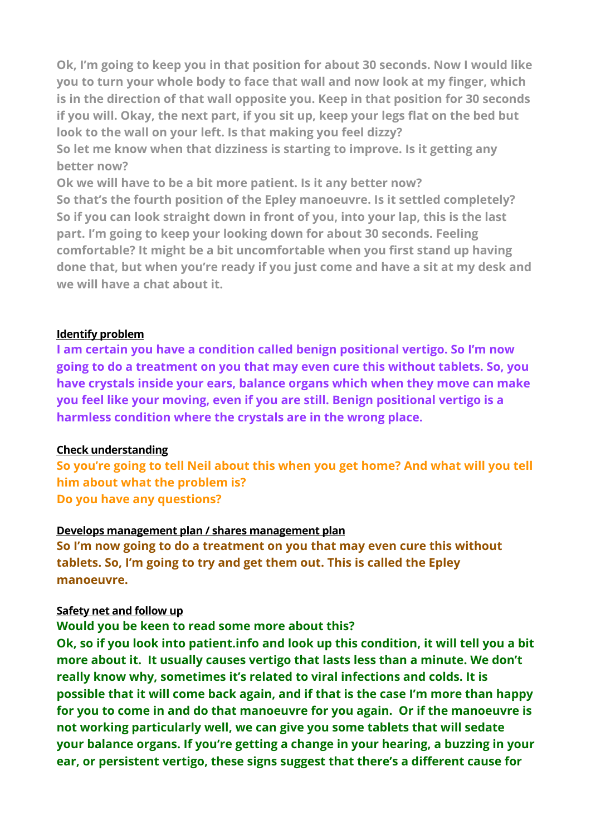**Ok, I'm going to keep you in that position for about 30 seconds. Now I would like you to turn your whole body to face that wall and now look at my finger, which is in the direction of that wall opposite you. Keep in that position for 30 seconds if you will. Okay, the next part, if you sit up, keep your legs flat on the bed but look to the wall on your left. Is that making you feel dizzy?** 

**So let me know when that dizziness is starting to improve. Is it getting any better now?** 

**Ok we will have to be a bit more patient. Is it any better now? So that's the fourth position of the Epley manoeuvre. Is it settled completely? So if you can look straight down in front of you, into your lap, this is the last part. I'm going to keep your looking down for about 30 seconds. Feeling comfortable? It might be a bit uncomfortable when you first stand up having done that, but when you're ready if you just come and have a sit at my desk and we will have a chat about it.** 

#### **Identify problem**

**I am certain you have a condition called benign positional vertigo. So I'm now going to do a treatment on you that may even cure this without tablets. So, you have crystals inside your ears, balance organs which when they move can make you feel like your moving, even if you are still. Benign positional vertigo is a harmless condition where the crystals are in the wrong place.** 

#### **Check understanding**

**So you're going to tell Neil about this when you get home? And what will you tell him about what the problem is? Do you have any questions?** 

#### **Develops management plan / shares management plan**

**So I'm now going to do a treatment on you that may even cure this without tablets. So, I'm going to try and get them out. This is called the Epley manoeuvre.** 

#### **Safety net and follow up**

# **Would you be keen to read some more about this?**

**Ok, so if you look into patient.info and look up this condition, it will tell you a bit more about it. It usually causes vertigo that lasts less than a minute. We don't really know why, sometimes it's related to viral infections and colds. It is possible that it will come back again, and if that is the case I'm more than happy for you to come in and do that manoeuvre for you again. Or if the manoeuvre is not working particularly well, we can give you some tablets that will sedate your balance organs. If you're getting a change in your hearing, a buzzing in your ear, or persistent vertigo, these signs suggest that there's a different cause for**